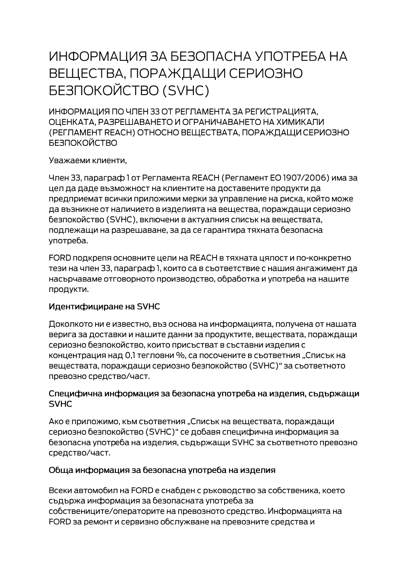# ИНФОРМАЦИЯ ЗА БЕЗОПАСНА УПОТРЕБА НА ВЕЩЕСТВА, ПОРАЖДАЩИ СЕРИОЗНО **БЕЗПОКОЙСТВО (SVHC)**

ИНФОРМАЦИЯ ПО ЧЛЕН 33 ОТ РЕГЛАМЕНТА ЗА РЕГИСТРАЦИЯТА. ОЦЕНКАТА, РАЗРЕШАВАНЕТО И ОГРАНИЧАВАНЕТО НА ХИМИКАЛИ (РЕГЛАМЕНТ REACH) ОТНОСНО ВЕЩЕСТВАТА, ПОРАЖДАЩИ СЕРИОЗНО **БЕЗПОКОЙСТВО** 

Уважаеми клиенти,

Член 33, параграф 1 от Регламента REACH (Регламент ЕО 1907/2006) има за цел да даде възможност на клиентите на доставените продукти да предприемат всички приложими мерки за управление на риска, който може да възникне от наличието в изделията на вещества, пораждащи сериозно безпокойство (SVHC), включени в актуалния списък на веществата, подлежащи на разрешаване, за да се гарантира тяхната безопасна употреба.

FORD подкрепя основните цели на REACH в тяхната цялост и по-конкретно тези на член 33, параграф 1, които са в съответствие с нашия ангажимент да насърчаваме отговорното производство, обработка и употреба на нашите продукти.

#### Идентифициране на SVHC

Доколкото ни е известно, въз основа на информацията, получена от нашата верига за доставки и нашите данни за продуктите, веществата, пораждащи сериозно безпокойство, които присъстват в съставни изделия с концентрация над 0,1 тегловни %, са посочените в съответния "Списък на веществата, пораждащи сериозно безпокойство (SVHC)" за съответното превозно средство/част.

#### Специфична информация за безопасна употреба на изделия, съдържащи **SVHC**

Ако е приложимо, към съответния "Списък на веществата, пораждащи сериозно безпокойство (SVHC)" се добавя специфична информация за безопасна употреба на изделия, съдържащи SVHC за съответното превозно средство/част.

#### Обща информация за безопасна употреба на изделия

Всеки автомобил на FORD е снабден с ръководство за собственика, което съдържа информация за безопасната употреба за собствениците/операторите на превозното средство. Информацията на FORD за ремонт и сервизно обслужване на превозните средства и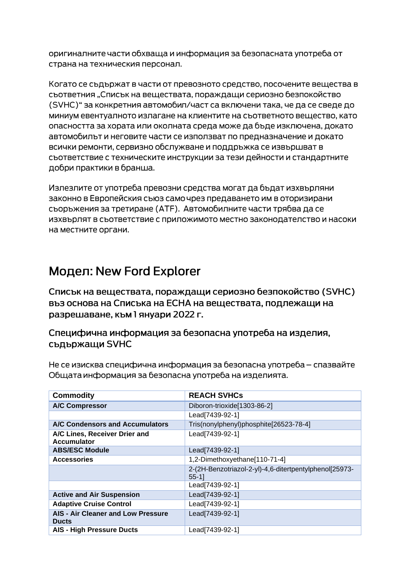оригиналните части обхваща и информация за безопасната употреба от страна на техническия персонал.

Когато се съдържат в части от превозното средство, посочените вещества в сьответния "Списък на вешествата, пораждащи сериозно безпокойство (SVHC)" за конкретния автомобил/част са включени така, че да се сведе до миниум евентуалното излагане на клиентите на съответното вещество, като опасността за хората или околната среда може да бъде изключена, докато автомобилът и неговите части се използват по предназначение и докато всички ремонти, сервизно обслужване и поддръжка се извършват в съответствие с техническите инструкции за тези дейности и стандартните добри практики в бранша.

Излезлите от употреба превозни средства могат да бъдат изхвърляни законно в Европейския съюз само чрез предаването им в оторизирани сьоръжения за третиране (АТЕ). Автомобилните части трябва да се изхвърлят в съответствие с приложимото местно законодателство и насоки на местните органи.

## Модел: New Ford Explorer

Списък на веществата, пораждащи сериозно безпокойство (SVHC) въз основа на Списъка на ЕСНА на веществата, подлежащи на разрешаване, към 1 януари 2022 г.

### Специфична информация за безопасна употреба на изделия, съдържащи SVHC

Не се изисква специфична информация за безопасна употреба - спазвайте Общата информация за безопасна употреба на изделията.

| <b>Commodity</b>                                    | <b>REACH SVHCs</b>                                                |
|-----------------------------------------------------|-------------------------------------------------------------------|
| <b>A/C Compressor</b>                               | Diboron-trioxide[1303-86-2]                                       |
|                                                     | Lead[7439-92-1]                                                   |
| A/C Condensors and Accumulators                     | Tris(nonylphenyl)phosphite[26523-78-4]                            |
| A/C Lines, Receiver Drier and<br><b>Accumulator</b> | Lead[7439-92-1]                                                   |
| <b>ABS/ESC Module</b>                               | Lead[7439-92-1]                                                   |
| <b>Accessories</b>                                  | 1,2-Dimethoxyethane[110-71-4]                                     |
|                                                     | 2-(2H-Benzotriazol-2-yl)-4,6-ditertpentylphenol[25973-<br>$55-11$ |
|                                                     | Lead[7439-92-1]                                                   |
| <b>Active and Air Suspension</b>                    | Lead[7439-92-1]                                                   |
| <b>Adaptive Cruise Control</b>                      | Lead[7439-92-1]                                                   |
| AIS - Air Cleaner and Low Pressure<br><b>Ducts</b>  | Lead[7439-92-1]                                                   |
| <b>AIS - High Pressure Ducts</b>                    | Lead[7439-92-1]                                                   |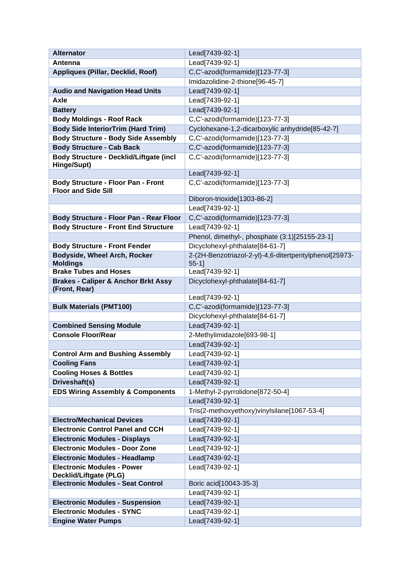| <b>Alternator</b>                                           | Lead[7439-92-1]                                                    |
|-------------------------------------------------------------|--------------------------------------------------------------------|
| Antenna                                                     | Lead[7439-92-1]                                                    |
| Appliques (Pillar, Decklid, Roof)                           | C,C'-azodi(formamide)[123-77-3]                                    |
|                                                             | Imidazolidine-2-thione[96-45-7]                                    |
| <b>Audio and Navigation Head Units</b>                      | Lead[7439-92-1]                                                    |
| <b>Axle</b>                                                 | Lead[7439-92-1]                                                    |
| <b>Battery</b>                                              | Lead[7439-92-1]                                                    |
| <b>Body Moldings - Roof Rack</b>                            | C,C'-azodi(formamide)[123-77-3]                                    |
| <b>Body Side InteriorTrim (Hard Trim)</b>                   | Cyclohexane-1,2-dicarboxylic anhydride[85-42-7]                    |
| <b>Body Structure - Body Side Assembly</b>                  | C,C'-azodi(formamide)[123-77-3]                                    |
| <b>Body Structure - Cab Back</b>                            | C,C'-azodi(formamide)[123-77-3]                                    |
| Body Structure - Decklid/Liftgate (incl                     | C,C'-azodi(formamide)[123-77-3]                                    |
| Hinge/Supt)                                                 |                                                                    |
|                                                             | Lead[7439-92-1]                                                    |
| <b>Body Structure - Floor Pan - Front</b>                   | C,C'-azodi(formamide)[123-77-3]                                    |
| <b>Floor and Side Sill</b>                                  | Diboron-trioxide[1303-86-2]                                        |
|                                                             | Lead[7439-92-1]                                                    |
| Body Structure - Floor Pan - Rear Floor                     | C,C'-azodi(formamide)[123-77-3]                                    |
| <b>Body Structure - Front End Structure</b>                 | Lead[7439-92-1]                                                    |
|                                                             |                                                                    |
|                                                             | Phenol, dimethyl-, phosphate (3:1)[25155-23-1]                     |
| <b>Body Structure - Front Fender</b>                        | Dicyclohexyl-phthalate[84-61-7]                                    |
| <b>Bodyside, Wheel Arch, Rocker</b><br><b>Moldings</b>      | 2-(2H-Benzotriazol-2-yl)-4,6-ditertpentylphenol[25973-<br>$55-1$ ] |
| <b>Brake Tubes and Hoses</b>                                | Lead[7439-92-1]                                                    |
| <b>Brakes - Caliper &amp; Anchor Brkt Assy</b>              | Dicyclohexyl-phthalate[84-61-7]                                    |
| (Front, Rear)                                               |                                                                    |
|                                                             | Lead[7439-92-1]                                                    |
| <b>Bulk Materials (PMT100)</b>                              | C,C'-azodi(formamide)[123-77-3]                                    |
|                                                             | Dicyclohexyl-phthalate[84-61-7]                                    |
| <b>Combined Sensing Module</b>                              | Lead[7439-92-1]                                                    |
| <b>Console Floor/Rear</b>                                   | 2-Methylimidazole[693-98-1]                                        |
|                                                             | Lead[7439-92-1]                                                    |
| <b>Control Arm and Bushing Assembly</b>                     | Lead[7439-92-1]                                                    |
| <b>Cooling Fans</b>                                         | Lead[7439-92-1]                                                    |
| <b>Cooling Hoses &amp; Bottles</b>                          | Lead[7439-92-1]                                                    |
| Driveshaft(s)                                               | Lead[7439-92-1]                                                    |
| <b>EDS Wiring Assembly &amp; Components</b>                 | 1-Methyl-2-pyrrolidone[872-50-4]                                   |
|                                                             | Lead[7439-92-1]                                                    |
|                                                             | Tris(2-methoxyethoxy)vinylsilane[1067-53-4]                        |
| <b>Electro/Mechanical Devices</b>                           | Lead[7439-92-1]                                                    |
| <b>Electronic Control Panel and CCH</b>                     | Lead[7439-92-1]                                                    |
| <b>Electronic Modules - Displays</b>                        | Lead[7439-92-1]                                                    |
| <b>Electronic Modules - Door Zone</b>                       | Lead[7439-92-1]                                                    |
| <b>Electronic Modules - Headlamp</b>                        | Lead[7439-92-1]                                                    |
| <b>Electronic Modules - Power</b><br>Decklid/Liftgate (PLG) | Lead[7439-92-1]                                                    |
| <b>Electronic Modules - Seat Control</b>                    | Boric acid[10043-35-3]                                             |
|                                                             | Lead[7439-92-1]                                                    |
| <b>Electronic Modules - Suspension</b>                      | Lead[7439-92-1]                                                    |
| <b>Electronic Modules - SYNC</b>                            | Lead[7439-92-1]                                                    |
| <b>Engine Water Pumps</b>                                   | Lead[7439-92-1]                                                    |
|                                                             |                                                                    |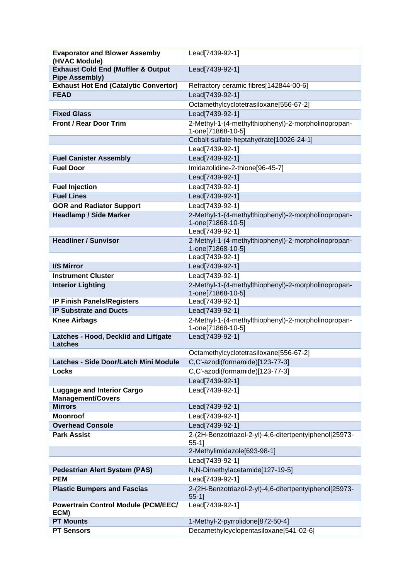| <b>Evaporator and Blower Assemby</b><br>(HVAC Module) | Lead[7439-92-1]                                                          |
|-------------------------------------------------------|--------------------------------------------------------------------------|
| <b>Exhaust Cold End (Muffler &amp; Output</b>         | Lead[7439-92-1]                                                          |
| <b>Pipe Assembly)</b>                                 |                                                                          |
| <b>Exhaust Hot End (Catalytic Convertor)</b>          | Refractory ceramic fibres[142844-00-6]                                   |
| <b>FEAD</b>                                           | Lead[7439-92-1]                                                          |
|                                                       | Octamethylcyclotetrasiloxane[556-67-2]                                   |
| <b>Fixed Glass</b>                                    | Lead[7439-92-1]                                                          |
| <b>Front / Rear Door Trim</b>                         | 2-Methyl-1-(4-methylthiophenyl)-2-morpholinopropan-                      |
|                                                       | 1-one[71868-10-5]                                                        |
|                                                       | Cobalt-sulfate-heptahydrate[10026-24-1]                                  |
|                                                       | Lead[7439-92-1]                                                          |
| <b>Fuel Canister Assembly</b>                         | Lead[7439-92-1]                                                          |
| <b>Fuel Door</b>                                      | Imidazolidine-2-thione[96-45-7]                                          |
|                                                       | Lead[7439-92-1]                                                          |
| <b>Fuel Injection</b>                                 | Lead[7439-92-1]                                                          |
| <b>Fuel Lines</b>                                     | Lead[7439-92-1]                                                          |
| <b>GOR and Radiator Support</b>                       | Lead[7439-92-1]                                                          |
| <b>Headlamp / Side Marker</b>                         | 2-Methyl-1-(4-methylthiophenyl)-2-morpholinopropan-                      |
|                                                       | 1-one[71868-10-5]                                                        |
|                                                       | Lead[7439-92-1]                                                          |
| <b>Headliner / Sunvisor</b>                           | 2-Methyl-1-(4-methylthiophenyl)-2-morpholinopropan-                      |
|                                                       | 1-one[71868-10-5]<br>Lead[7439-92-1]                                     |
| I/S Mirror                                            | Lead[7439-92-1]                                                          |
| <b>Instrument Cluster</b>                             | Lead[7439-92-1]                                                          |
|                                                       |                                                                          |
| <b>Interior Lighting</b>                              | 2-Methyl-1-(4-methylthiophenyl)-2-morpholinopropan-<br>1-one[71868-10-5] |
| <b>IP Finish Panels/Registers</b>                     | Lead[7439-92-1]                                                          |
| <b>IP Substrate and Ducts</b>                         | Lead[7439-92-1]                                                          |
| <b>Knee Airbags</b>                                   | 2-Methyl-1-(4-methylthiophenyl)-2-morpholinopropan-<br>1-one[71868-10-5] |
| Latches - Hood, Decklid and Liftgate                  | Lead[7439-92-1]                                                          |
| <b>Latches</b>                                        |                                                                          |
|                                                       | Octamethylcyclotetrasiloxane[556-67-2]                                   |
| Latches - Side Door/Latch Mini Module                 | C,C'-azodi(formamide)[123-77-3]                                          |
| <b>Locks</b>                                          | C,C'-azodi(formamide)[123-77-3]                                          |
|                                                       | Lead[7439-92-1]                                                          |
| <b>Luggage and Interior Cargo</b>                     | Lead[7439-92-1]                                                          |
| <b>Management/Covers</b><br><b>Mirrors</b>            | Lead[7439-92-1]                                                          |
| <b>Moonroof</b>                                       | Lead[7439-92-1]                                                          |
| <b>Overhead Console</b>                               | Lead[7439-92-1]                                                          |
| <b>Park Assist</b>                                    | 2-(2H-Benzotriazol-2-yl)-4,6-ditertpentylphenol[25973-                   |
|                                                       | $55-1$ ]                                                                 |
|                                                       | 2-Methylimidazole[693-98-1]                                              |
|                                                       | Lead[7439-92-1]                                                          |
| <b>Pedestrian Alert System (PAS)</b>                  | N,N-Dimethylacetamide[127-19-5]                                          |
| <b>PEM</b>                                            | Lead[7439-92-1]                                                          |
| <b>Plastic Bumpers and Fascias</b>                    | 2-(2H-Benzotriazol-2-yl)-4,6-ditertpentylphenol[25973-                   |
|                                                       | $55-1$ ]                                                                 |
| <b>Powertrain Control Module (PCM/EEC/</b>            | Lead[7439-92-1]                                                          |
| ECM)<br><b>PT Mounts</b>                              | 1-Methyl-2-pyrrolidone[872-50-4]                                         |
| <b>PT Sensors</b>                                     | Decamethylcyclopentasiloxane[541-02-6]                                   |
|                                                       |                                                                          |